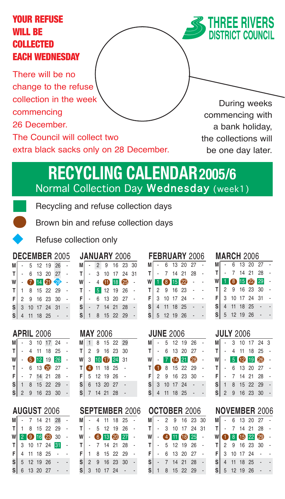## YOUR REFUSE WILL BE COLLECTED EACH WEDNESDAY



There will be no change to the refuse collection in the week commencing 26 December.

The Council will collect two

extra black sacks only on 28 December.

During weeks commencing with a bank holiday, the collections will be one day later.

# **RECYCLING CALENDAR2005/6** Normal Collection Day Wednesday (week1)

Recycling and refuse collection days

Brown bin and refuse collection days



Refuse collection only

|                                             |              |            |                  | <b>DECEMBER 2005</b> |  |
|---------------------------------------------|--------------|------------|------------------|----------------------|--|
| M                                           |              |            | 5 12 19 26       |                      |  |
|                                             |              |            | $T$ - 6 13 20 27 |                      |  |
| W                                           |              |            | $-7199$          |                      |  |
| T                                           |              |            | 1 8 15 22 29     |                      |  |
| F                                           |              |            | 2 9 16 23 30     |                      |  |
| S                                           | $\mathbf{3}$ |            | 10 17 24 31      |                      |  |
| $\mathsf{s}^{\scriptscriptstyle\mathsf{I}}$ |              | 4 11 18 25 |                  |                      |  |
|                                             |              |            |                  |                      |  |

### **APRIL** 2006

| мI |         |  | $-3$ 10 17 24    |  |
|----|---------|--|------------------|--|
|    |         |  | $T$ - 4 11 18 25 |  |
| wl |         |  | $-$ (5 12 19 26  |  |
| тI |         |  | $-6$ 13 20 27    |  |
|    |         |  | $F$ - 7 14 21 28 |  |
|    | $s$   1 |  | 8 15 22 29       |  |
|    |         |  | $S$ 2 9 16 23 30 |  |
|    |         |  |                  |  |

| <b>AUGUST 2006</b> |  |
|--------------------|--|
|--------------------|--|

|  |  | M - 7 14 21 28   |  |
|--|--|------------------|--|
|  |  | $T$ 1 8 15 22 29 |  |
|  |  | W 2 0 16 23 30   |  |
|  |  | T 3 10 17 24 31  |  |
|  |  | $F$ 4 11 18 25   |  |
|  |  | $S$ 5 12 19 26 - |  |
|  |  | $S$ 6 13 20 27   |  |

|    |  | <b>JANUARY 2006</b> |          |  |
|----|--|---------------------|----------|--|
| М  |  | 2 9 16 23 30        |          |  |
| ΤI |  | 3 10 17 24 31       |          |  |
| W  |  | 4 11 18 25          |          |  |
|    |  | 5 12 19 26          |          |  |
| F  |  | 6 13 20 27          |          |  |
| S  |  |                     | 14 21 28 |  |
|    |  | 8 15 22 29          |          |  |

### **MAY** 2006 **JUNE** 2006 **JULY** 2006

| M |                              |  | 1 8 15 22 29 |  |
|---|------------------------------|--|--------------|--|
|   |                              |  |              |  |
|   |                              |  |              |  |
|   |                              |  |              |  |
|   | F 5 12 19 26<br>S 6 13 20 27 |  |              |  |
|   |                              |  |              |  |
|   | S 6 13 20 27<br>S 7 14 21 28 |  |              |  |

### **AUGUST** 2006 **SEPTEMBER** 2006 **OCTOBER** 2006 **NOVEMBER** 2006

|     | M - 4 11 18 25   |  |                |  |
|-----|------------------|--|----------------|--|
| TI. | $-5$ 12 19 26    |  |                |  |
|     |                  |  | W · 6 18 20 27 |  |
|     | $T$ - 7 14 21 28 |  |                |  |
|     | $F$ 1 8 15 22 29 |  |                |  |
| S   | 2 9 16 23 30     |  |                |  |
|     | $S$ 3 10 17 24 - |  |                |  |

### **JANUARY** 2006 **FEBRUARY** 2006 **MARCH** 2006 **M** - 6 13 20 27 - **T** - 7 14 21 28 -  $W$  1 8 15 22 - $T$  2 9 16 23 -**F** 3 10 17 24 - - **S** 4 11 18 25 - -  $S$  5 12 19 26 -

|    | <b>JUNE 2006</b> |          |              |  |
|----|------------------|----------|--------------|--|
| мl |                  |          | 5 12 19 26   |  |
|    | $T$ - 6 13 20 27 |          |              |  |
|    | $W - 76421$      |          |              |  |
| T  |                  |          | 8 15 22 29   |  |
| F  |                  |          | 2 9 16 23 30 |  |
| s' | 3 10 17 24       |          |              |  |
|    |                  | 11 18 25 |              |  |

| <b>OCTOBER 2006</b> |       |                |  |               |    |  |  |  |
|---------------------|-------|----------------|--|---------------|----|--|--|--|
| мI                  |       |                |  | 2 9 16 23 30  |    |  |  |  |
|                     | T   - |                |  | 3 10 17 24 31 |    |  |  |  |
| W                   |       |                |  | 4 11 18 25    |    |  |  |  |
| T                   |       |                |  | 5 12 19 26    |    |  |  |  |
| F                   |       |                |  | 6 13 20 27    |    |  |  |  |
| S                   |       | $\overline{7}$ |  | 14 21         | 28 |  |  |  |
|                     |       |                |  | 8 15 22 29    |    |  |  |  |

| МI |  | - 6 13 20 27      |            |  |
|----|--|-------------------|------------|--|
| T  |  |                   | 7 14 21 28 |  |
| W  |  | 1 8 15 22 29      |            |  |
| T  |  |                   |            |  |
|    |  | $F$ 3 10 17 24 31 |            |  |
| S  |  | 4 11 18 25 -      |            |  |
|    |  | $S$ 5 12 19 26 -  |            |  |

| <b>JULY 2006</b> |                |   |            |          |              |  |  |
|------------------|----------------|---|------------|----------|--------------|--|--|
| мI               |                |   |            |          | 3 10 17 24 3 |  |  |
| т                |                |   | 4 11 18 25 |          |              |  |  |
| W                |                |   | 5 12 19 26 |          |              |  |  |
| т                |                |   | 6 13 20 27 |          |              |  |  |
| F                |                |   |            | 14 21 28 |              |  |  |
| $\sf{s}$         |                | 8 |            | 15 22 29 |              |  |  |
| S                | $\overline{c}$ |   | 9 16 23 30 |          |              |  |  |
|                  |                |   |            |          |              |  |  |

|    |                                                                                              |  | $\mathsf{M}$ - 6 13 20 27 |  |
|----|----------------------------------------------------------------------------------------------|--|---------------------------|--|
| T. |                                                                                              |  | - 7 14 21 28              |  |
|    | W 0 8 6 22 29                                                                                |  |                           |  |
|    | $T$ 2 9 16 23 30                                                                             |  |                           |  |
|    | $\begin{array}{c cccc}\nF & 3 & 10 & 17 & 24 & - \\ S & 4 & 11 & 18 & 25 & - \\ \end{array}$ |  |                           |  |
|    |                                                                                              |  |                           |  |
|    | $S$ 5 12 19 26                                                                               |  |                           |  |